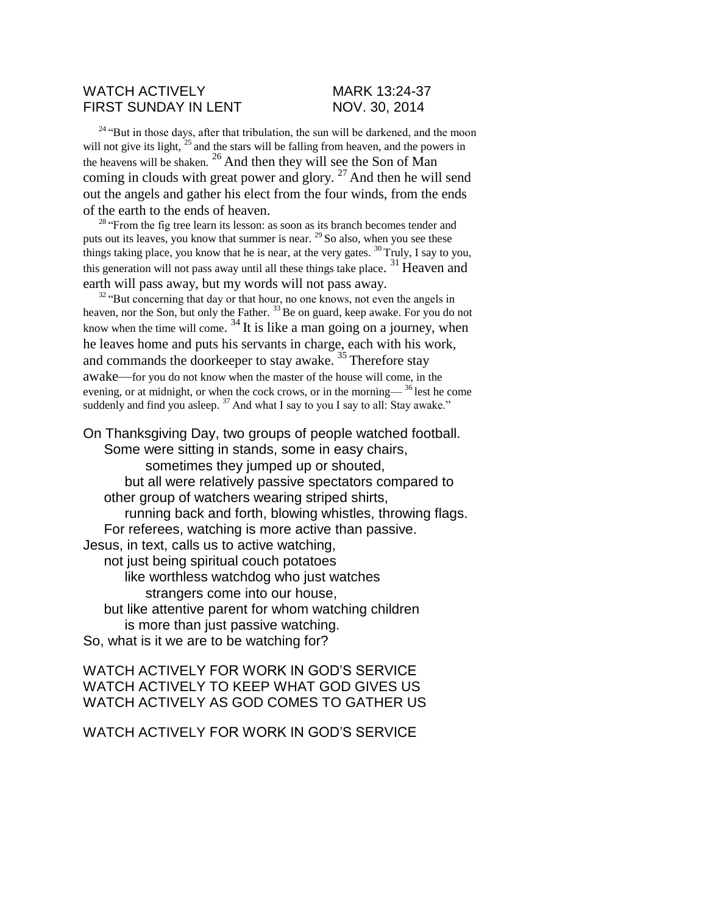## WATCH ACTIVELY MARK 13:24-37 FIRST SUNDAY IN LENT NOV. 30, 2014

<sup>24</sup> "But in those days, after that tribulation, the sun will be darkened, and the moon will not give its light,  $25$  and the stars will be falling from heaven, and the powers in the heavens will be shaken. <sup>26</sup> And then they will see the Son of Man coming in clouds with great power and glory.  $27$  And then he will send out the angels and gather his elect from the four winds, from the ends of the earth to the ends of heaven.

 $28$  "From the fig tree learn its lesson: as soon as its branch becomes tender and puts out its leaves, you know that summer is near. <sup>29</sup>So also, when you see these things taking place, you know that he is near, at the very gates.  $^{30}$  Truly, I say to you, this generation will not pass away until all these things take place.<sup>31</sup> Heaven and earth will pass away, but my words will not pass away.

 $32 \text{°}$ But concerning that day or that hour, no one knows, not even the angels in heaven, nor the Son, but only the Father.<sup>33</sup>Be on guard, keep awake. For you do not know when the time will come.  $34$  It is like a man going on a journey, when he leaves home and puts his servants in charge, each with his work, and commands the doorkeeper to stay awake.  $35$  Therefore stay awake—for you do not know when the master of the house will come, in the evening, or at midnight, or when the cock crows, or in the morning— $36$  lest he come suddenly and find you asleep. <sup>37</sup> And what I say to you I say to all: Stay awake."

On Thanksgiving Day, two groups of people watched football. Some were sitting in stands, some in easy chairs, sometimes they jumped up or shouted, but all were relatively passive spectators compared to other group of watchers wearing striped shirts, running back and forth, blowing whistles, throwing flags. For referees, watching is more active than passive. Jesus, in text, calls us to active watching, not just being spiritual couch potatoes like worthless watchdog who just watches strangers come into our house, but like attentive parent for whom watching children is more than just passive watching. So, what is it we are to be watching for?

WATCH ACTIVELY FOR WORK IN GOD'S SERVICE WATCH ACTIVELY TO KEEP WHAT GOD GIVES US WATCH ACTIVELY AS GOD COMES TO GATHER US

WATCH ACTIVELY FOR WORK IN GOD'S SERVICE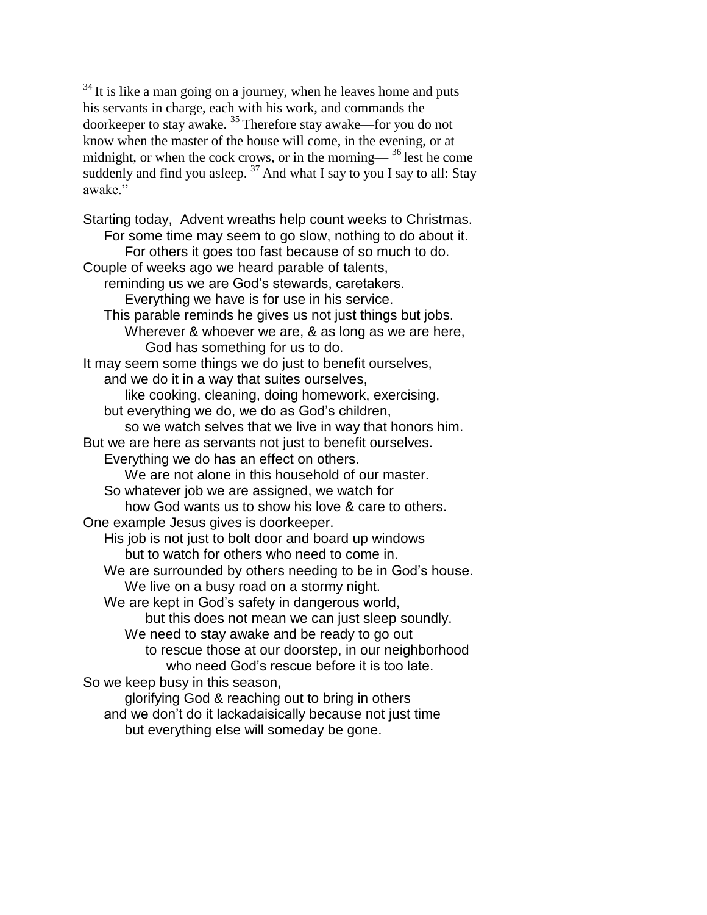$34$  It is like a man going on a journey, when he leaves home and puts his servants in charge, each with his work, and commands the doorkeeper to stay awake. <sup>35</sup>Therefore stay awake—for you do not know when the master of the house will come, in the evening, or at midnight, or when the cock crows, or in the morning— $36$  lest he come suddenly and find you asleep.  $37$  And what I say to you I say to all: Stay awake"

Starting today, Advent wreaths help count weeks to Christmas. For some time may seem to go slow, nothing to do about it. For others it goes too fast because of so much to do. Couple of weeks ago we heard parable of talents, reminding us we are God's stewards, caretakers. Everything we have is for use in his service. This parable reminds he gives us not just things but jobs. Wherever & whoever we are, & as long as we are here, God has something for us to do. It may seem some things we do just to benefit ourselves, and we do it in a way that suites ourselves, like cooking, cleaning, doing homework, exercising, but everything we do, we do as God's children, so we watch selves that we live in way that honors him. But we are here as servants not just to benefit ourselves. Everything we do has an effect on others. We are not alone in this household of our master. So whatever job we are assigned, we watch for how God wants us to show his love & care to others. One example Jesus gives is doorkeeper. His job is not just to bolt door and board up windows but to watch for others who need to come in. We are surrounded by others needing to be in God's house. We live on a busy road on a stormy night. We are kept in God's safety in dangerous world, but this does not mean we can just sleep soundly. We need to stay awake and be ready to go out to rescue those at our doorstep, in our neighborhood who need God's rescue before it is too late. So we keep busy in this season, glorifying God & reaching out to bring in others and we don't do it lackadaisically because not just time

but everything else will someday be gone.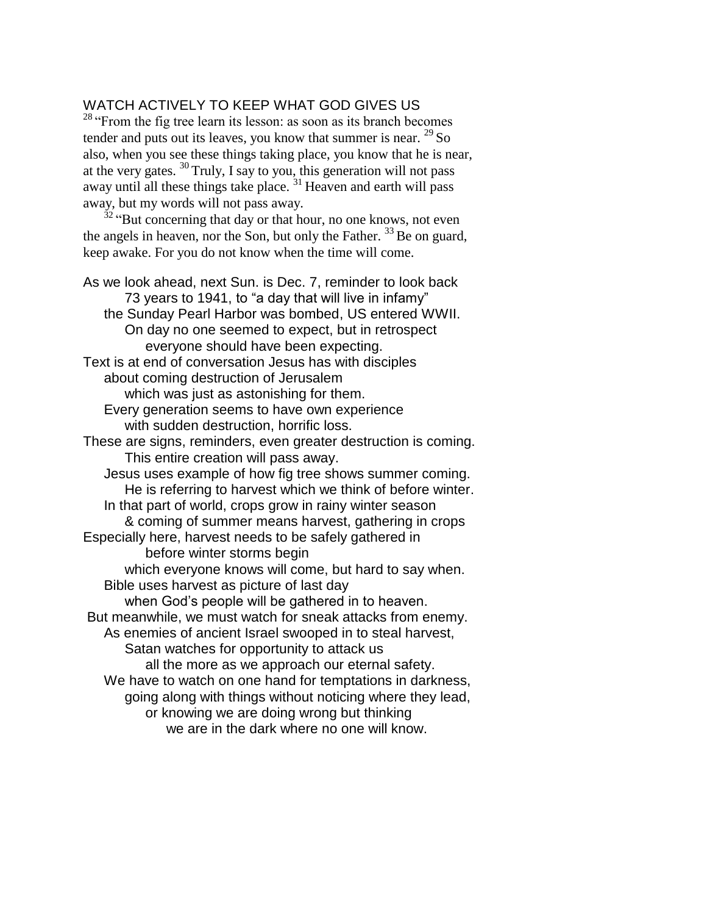## WATCH ACTIVELY TO KEEP WHAT GOD GIVES US

<sup>28</sup> "From the fig tree learn its lesson: as soon as its branch becomes tender and puts out its leaves, you know that summer is near.  $^{29}$  So also, when you see these things taking place, you know that he is near, at the very gates.  $30$  Truly, I say to you, this generation will not pass away until all these things take place.  $31$  Heaven and earth will pass away, but my words will not pass away.

<sup>32</sup> "But concerning that day or that hour, no one knows, not even the angels in heaven, nor the Son, but only the Father.  $33$  Be on guard, keep awake. For you do not know when the time will come.

As we look ahead, next Sun. is Dec. 7, reminder to look back 73 years to 1941, to "a day that will live in infamy" the Sunday Pearl Harbor was bombed, US entered WWII. On day no one seemed to expect, but in retrospect everyone should have been expecting. Text is at end of conversation Jesus has with disciples about coming destruction of Jerusalem which was just as astonishing for them. Every generation seems to have own experience with sudden destruction, horrific loss. These are signs, reminders, even greater destruction is coming. This entire creation will pass away. Jesus uses example of how fig tree shows summer coming. He is referring to harvest which we think of before winter. In that part of world, crops grow in rainy winter season & coming of summer means harvest, gathering in crops Especially here, harvest needs to be safely gathered in before winter storms begin which everyone knows will come, but hard to say when. Bible uses harvest as picture of last day when God's people will be gathered in to heaven. But meanwhile, we must watch for sneak attacks from enemy. As enemies of ancient Israel swooped in to steal harvest, Satan watches for opportunity to attack us all the more as we approach our eternal safety. We have to watch on one hand for temptations in darkness, going along with things without noticing where they lead, or knowing we are doing wrong but thinking we are in the dark where no one will know.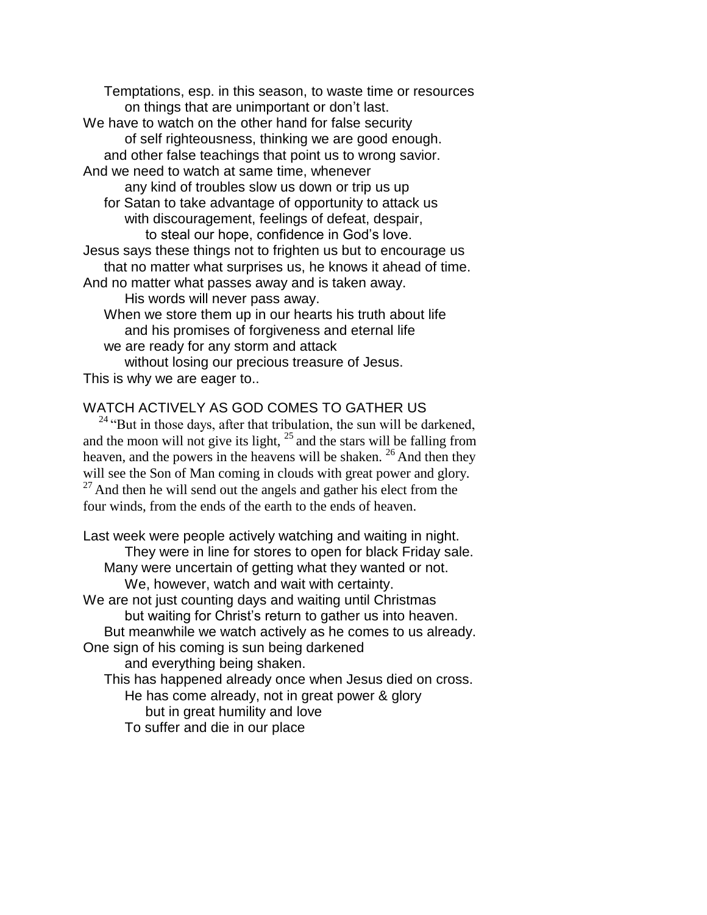Temptations, esp. in this season, to waste time or resources on things that are unimportant or don't last. We have to watch on the other hand for false security of self righteousness, thinking we are good enough. and other false teachings that point us to wrong savior. And we need to watch at same time, whenever any kind of troubles slow us down or trip us up for Satan to take advantage of opportunity to attack us with discouragement, feelings of defeat, despair, to steal our hope, confidence in God's love. Jesus says these things not to frighten us but to encourage us that no matter what surprises us, he knows it ahead of time. And no matter what passes away and is taken away. His words will never pass away. When we store them up in our hearts his truth about life and his promises of forgiveness and eternal life we are ready for any storm and attack without losing our precious treasure of Jesus.

This is why we are eager to..

## WATCH ACTIVELY AS GOD COMES TO GATHER US

 $24$  "But in those days, after that tribulation, the sun will be darkened, and the moon will not give its light,  $2<sup>5</sup>$  and the stars will be falling from heaven, and the powers in the heavens will be shaken.  $^{26}$  And then they will see the Son of Man coming in clouds with great power and glory.  $27$  And then he will send out the angels and gather his elect from the four winds, from the ends of the earth to the ends of heaven.

Last week were people actively watching and waiting in night. They were in line for stores to open for black Friday sale. Many were uncertain of getting what they wanted or not. We, however, watch and wait with certainty. We are not just counting days and waiting until Christmas but waiting for Christ's return to gather us into heaven. But meanwhile we watch actively as he comes to us already. One sign of his coming is sun being darkened and everything being shaken. This has happened already once when Jesus died on cross. He has come already, not in great power & glory but in great humility and love To suffer and die in our place